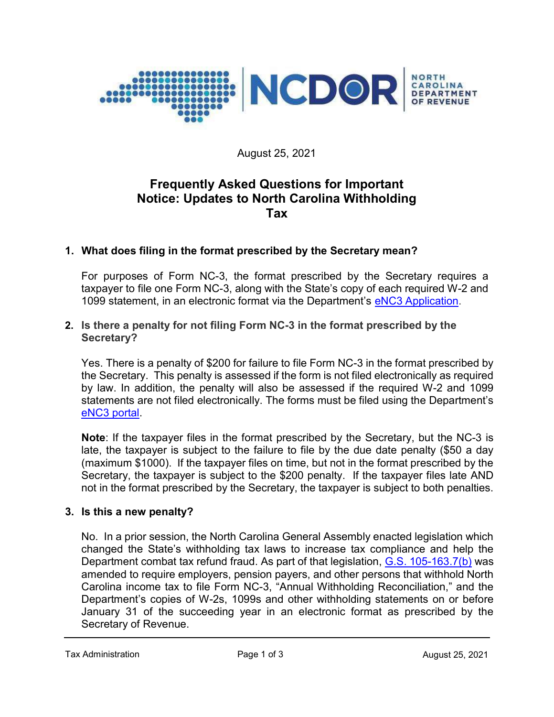

August 25, 2021

# Frequently Asked Questions for Important Notice: Updates to North Carolina Withholding Tax

# 1. What does filing in the format prescribed by the Secretary mean?

For purposes of Form NC-3, the format prescribed by the Secretary requires a taxpayer to file one Form NC-3, along with the State's copy of each required W-2 and 1099 statement, in an electronic format via the Department's eNC3 Application.

#### 2. Is there a penalty for not filing Form NC-3 in the format prescribed by the Secretary?

Yes. There is a penalty of \$200 for failure to file Form NC-3 in the format prescribed by the Secretary. This penalty is assessed if the form is not filed electronically as required by law. In addition, the penalty will also be assessed if the required W-2 and 1099 statements are not filed electronically. The forms must be filed using the Department's eNC3 portal.

Note: If the taxpayer files in the format prescribed by the Secretary, but the NC-3 is late, the taxpayer is subject to the failure to file by the due date penalty (\$50 a day (maximum \$1000). If the taxpayer files on time, but not in the format prescribed by the Secretary, the taxpayer is subject to the \$200 penalty. If the taxpayer files late AND not in the format prescribed by the Secretary, the taxpayer is subject to both penalties.

#### 3. Is this a new penalty?

No. In a prior session, the North Carolina General Assembly enacted legislation which changed the State's withholding tax laws to increase tax compliance and help the Department combat tax refund fraud. As part of that legislation, G.S. 105-163.7(b) was amended to require employers, pension payers, and other persons that withhold North Carolina income tax to file Form NC-3, "Annual Withholding Reconciliation," and the Department's copies of W-2s, 1099s and other withholding statements on or before January 31 of the succeeding year in an electronic format as prescribed by the Secretary of Revenue.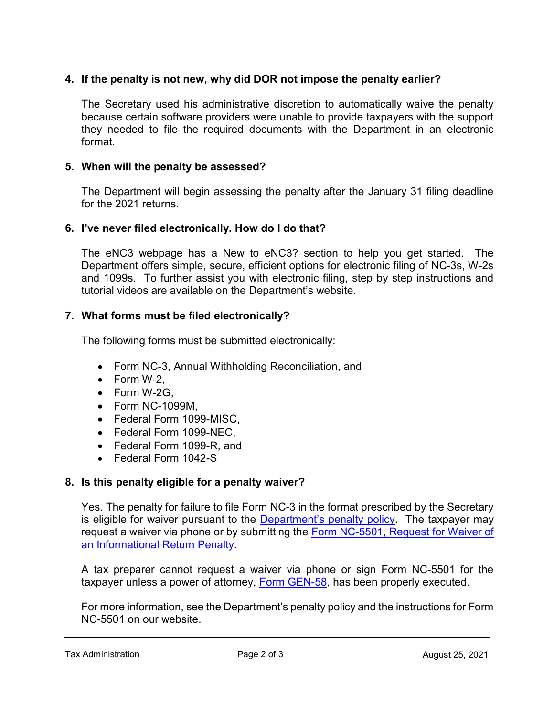# 4. If the penalty is not new, why did DOR not impose the penalty earlier?

The Secretary used his administrative discretion to automatically waive the penalty because certain software providers were unable to provide taxpayers with the support they needed to file the required documents with the Department in an electronic format.

## 5. When will the penalty be assessed?

The Department will begin assessing the penalty after the January 31 filing deadline for the 2021 returns.

## 6. I've never filed electronically. How do I do that?

The eNC3 webpage has a New to eNC3? section to help you get started. The Department offers simple, secure, efficient options for electronic filing of NC-3s, W-2s and 1099s. To further assist you with electronic filing, step by step instructions and tutorial videos are available on the Department's website.

# 7. What forms must be filed electronically?

The following forms must be submitted electronically:

- Form NC-3, Annual Withholding Reconciliation, and
- $\bullet$  Form W-2.
- Form W-2G,
- Form NC-1099M,
- Federal Form 1099-MISC.
- Federal Form 1099-NEC,
- Federal Form 1099-R, and
- Federal Form 1042-S

# 8. Is this penalty eligible for a penalty waiver?

Yes. The penalty for failure to file Form NC-3 in the format prescribed by the Secretary is eligible for waiver pursuant to the Department's penalty policy. The taxpayer may request a waiver via phone or by submitting the Form NC-5501, Request for Waiver of an Informational Return Penalty.

A tax preparer cannot request a waiver via phone or sign Form NC-5501 for the taxpayer unless a power of attorney, Form GEN-58, has been properly executed.

For more information, see the Department's penalty policy and the instructions for Form NC-5501 on our website.

Tax Administration Tax Administration Contract 25, 2021